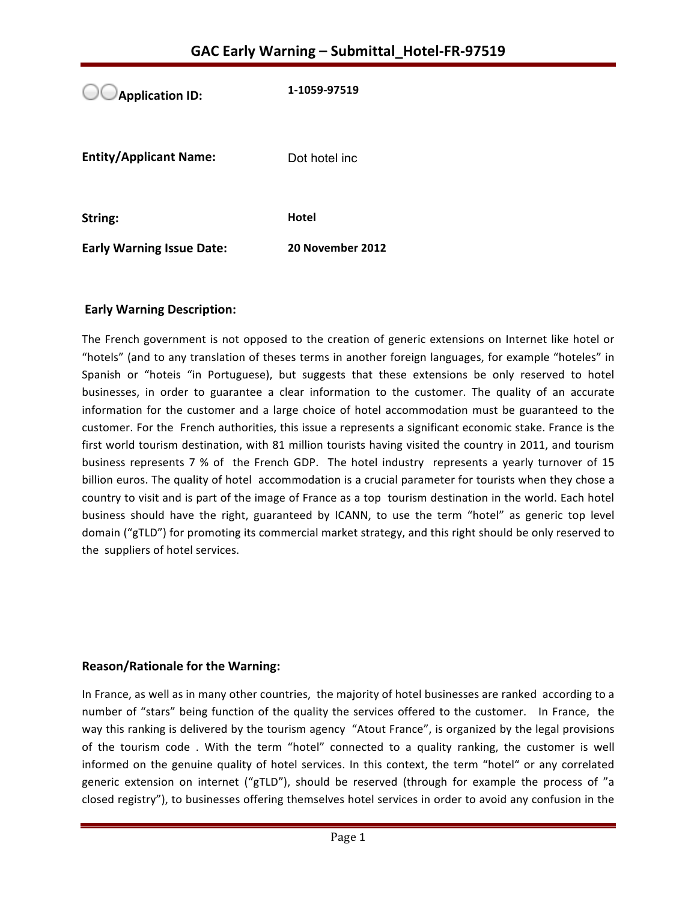**Application ID:** 1-1059-97519 **Entity/Applicant Name:** Dot hotel inc **String: Hotel Early Warning Issue Date:** 20 November 2012

## **Early Warning Description:**

The French government is not opposed to the creation of generic extensions on Internet like hotel or "hotels" (and to any translation of theses terms in another foreign languages, for example "hoteles" in Spanish or "hoteis "in Portuguese), but suggests that these extensions be only reserved to hotel businesses, in order to guarantee a clear information to the customer. The quality of an accurate information for the customer and a large choice of hotel accommodation must be guaranteed to the customer. For the French authorities, this issue a represents a significant economic stake. France is the first world tourism destination, with 81 million tourists having visited the country in 2011, and tourism business represents 7 % of the French GDP. The hotel industry represents a yearly turnover of 15 billion euros. The quality of hotel accommodation is a crucial parameter for tourists when they chose a country to visit and is part of the image of France as a top tourism destination in the world. Each hotel business should have the right, guaranteed by ICANN, to use the term "hotel" as generic top level domain ("gTLD") for promoting its commercial market strategy, and this right should be only reserved to the suppliers of hotel services.

### **Reason/Rationale for the Warning:**

In France, as well as in many other countries, the majority of hotel businesses are ranked according to a number of "stars" being function of the quality the services offered to the customer. In France, the way this ranking is delivered by the tourism agency "Atout France", is organized by the legal provisions of the tourism code. With the term "hotel" connected to a quality ranking, the customer is well informed on the genuine quality of hotel services. In this context, the term "hotel" or any correlated generic extension on internet ("gTLD"), should be reserved (through for example the process of "a closed registry"), to businesses offering themselves hotel services in order to avoid any confusion in the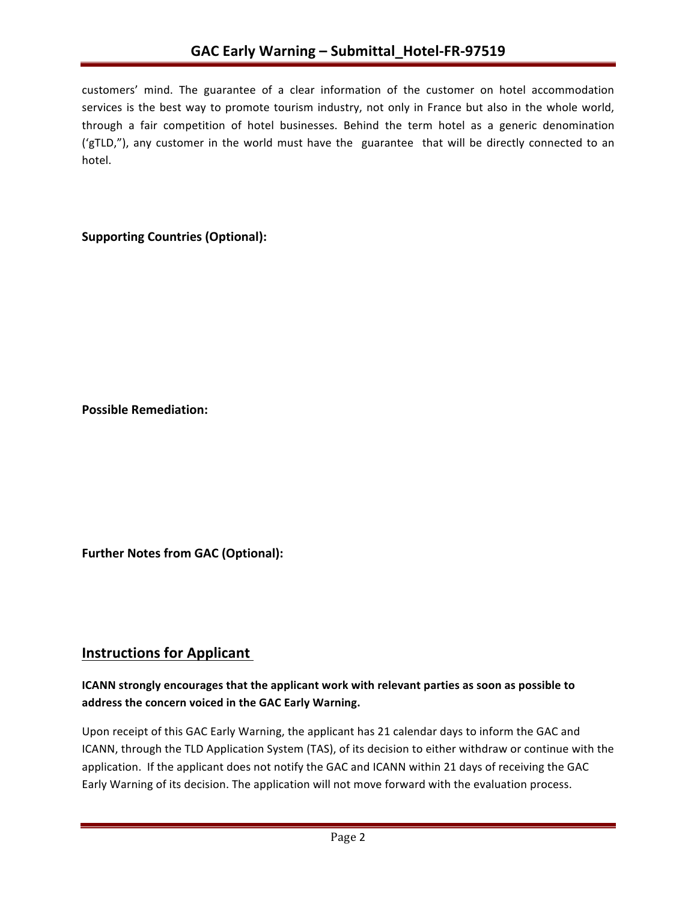customers' mind. The guarantee of a clear information of the customer on hotel accommodation services is the best way to promote tourism industry, not only in France but also in the whole world, through a fair competition of hotel businesses. Behind the term hotel as a generic denomination ('gTLD,"), any customer in the world must have the guarantee that will be directly connected to an hotel. 

# **Supporting Countries (Optional):**

**Possible Remediation:**

**Further Notes from GAC (Optional):** 

# **Instructions for Applicant**

## **ICANN** strongly encourages that the applicant work with relevant parties as soon as possible to address the concern voiced in the GAC Early Warning.

Upon receipt of this GAC Early Warning, the applicant has 21 calendar days to inform the GAC and ICANN, through the TLD Application System (TAS), of its decision to either withdraw or continue with the application. If the applicant does not notify the GAC and ICANN within 21 days of receiving the GAC Early Warning of its decision. The application will not move forward with the evaluation process.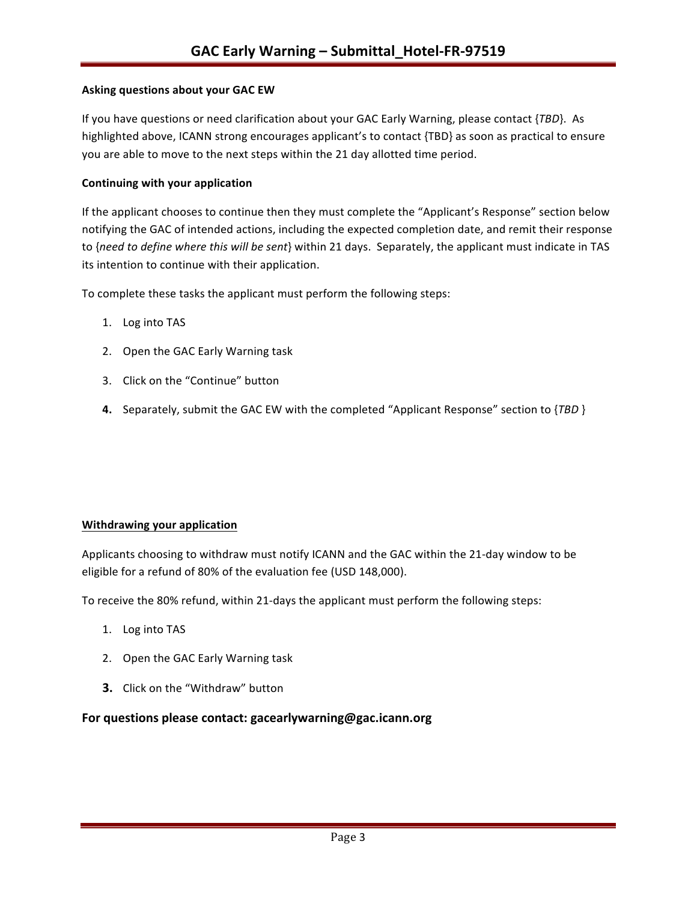#### **Asking questions about your GAC EW**

If you have questions or need clarification about your GAC Early Warning, please contact {*TBD*}. As highlighted above, ICANN strong encourages applicant's to contact {TBD} as soon as practical to ensure you are able to move to the next steps within the 21 day allotted time period.

#### **Continuing with your application**

If the applicant chooses to continue then they must complete the "Applicant's Response" section below notifying the GAC of intended actions, including the expected completion date, and remit their response to {need to define where this will be sent} within 21 days. Separately, the applicant must indicate in TAS its intention to continue with their application.

To complete these tasks the applicant must perform the following steps:

- 1. Log into TAS
- 2. Open the GAC Early Warning task
- 3. Click on the "Continue" button
- **4.** Separately, submit the GAC EW with the completed "Applicant Response" section to {*TBD* }

#### **Withdrawing your application**

Applicants choosing to withdraw must notify ICANN and the GAC within the 21-day window to be eligible for a refund of 80% of the evaluation fee (USD 148,000).

To receive the 80% refund, within 21-days the applicant must perform the following steps:

- 1. Log into TAS
- 2. Open the GAC Early Warning task
- **3.** Click on the "Withdraw" button

#### **For questions please contact: gacearlywarning@gac.icann.org**